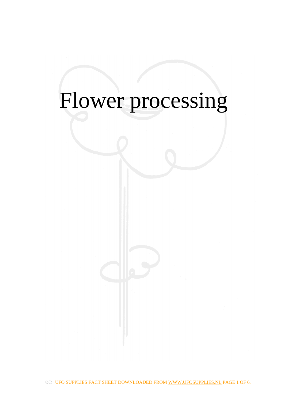# Flower processing

OF UFO SUPPLIES FACT SHEET DOWNLOADED FROM WWW.UFOSUPPLIES.NL PAGE 1 OF 6.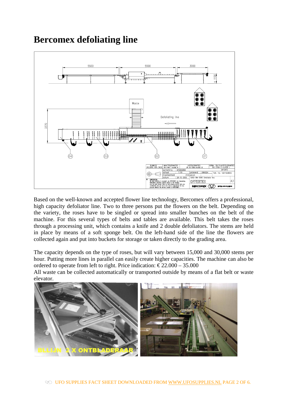## **Bercomex defoliating line**



Based on the well-known and accepted flower line technology, Bercomex offers a professional, high capacity defoliator line. Two to three persons put the flowers on the belt. Depending on the variety, the roses have to be singled or spread into smaller bunches on the belt of the machine. For this several types of belts and tables are available. This belt takes the roses through a processing unit, which contains a knife and 2 double defoliators. The stems are held in place by means of a soft sponge belt. On the left-hand side of the line the flowers are collected again and put into buckets for storage or taken directly to the grading area.

The capacity depends on the type of roses, but will vary between 15,000 and 30,000 stems per hour. Putting more lines in parallel can easily create higher capacities. The machine can also be ordered to operate from left to right. Price indication:  $\epsilon$ 22.000 – 35.000

All waste can be collected automatically or transported outside by means of a flat belt or waste elevator.

![](_page_1_Picture_5.jpeg)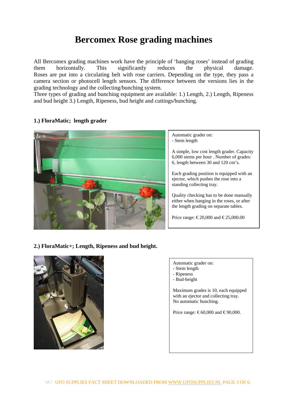## **Bercomex Rose grading machines**

All Bercomex grading machines work have the principle of 'hanging roses' instead of grading them horizontally. This significantly reduces the physical damage. Roses are put into a circulating belt with rose carriers. Depending on the type, they pass a camera section or photocell length sensors. The difference between the versions lies in the grading technology and the collecting/bunching system.

Three types of grading and bunching equipment are available: 1.) Length, 2.) Length, Ripeness and bud height 3.) Length, Ripeness, bud height and cuttings/bunching.

#### **1.) FloraMatic; length grader**

![](_page_2_Picture_4.jpeg)

Automatic grader on: - Stem length

A simple, low cost length grader. Capacity 6,000 stems per hour . Number of grades: 6, length between 30 and 120 cm's.

Each grading position is equipped with an ejector, which pushes the rose into a standing collecting tray.

Quality checking has to be done manually either when hanging in the roses, or after the length grading on separate tables.

Price range: €20,000 and €25,000.00

#### **2.) FloraMatic+; Length, Ripeness and bud height.**

![](_page_2_Picture_11.jpeg)

- Automatic grader on:
- Stem length
- Ripeness
- Bud-height

Maximum grades is 10, each equipped with an ejector and collecting tray. No automatic bunching.

Price range:  $\text{\textsterling}60,000$  and  $\text{\textsterling}90,000$ .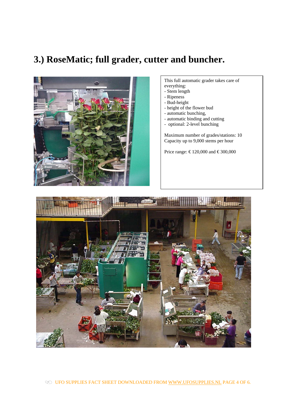## **3.) RoseMatic; full grader, cutter and buncher.**

![](_page_3_Picture_1.jpeg)

#### This full automatic grader takes care of everything:

- Stem length
- Ripeness
- Bud-height
- height of the flower bud
- automatic bunching,
- automatic binding and cutting
- optional: 2-level bunching

Maximum number of grades/stations: 10 Capacity up to 9,000 stems per hour

Price range: € 120,000 and € 300,000

![](_page_3_Picture_12.jpeg)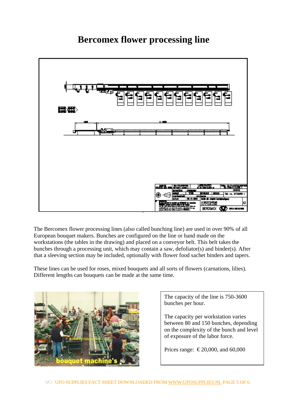## PAN SER sidad i musi **HE IS WINCH B-D SHOP In** אראמנו **BERCOMEX**  $\mathbf{m}$

**Bercomex flower processing line** 

The Bercomex flower processing lines (also called bunching line) are used in over 90% of all European bouquet makers. Bunches are configured on the line or hand made on the workstations (the tables in the drawing) and placed on a conveyor belt. This belt takes the bunches through a processing unit, which may contain a saw, defoliator(s) and binder(s). After that a sleeving section may be included, optionally with flower food sachet binders and tapers.

These lines can be used for roses, mixed bouquets and all sorts of flowers (carnations, lilies). Different lengths can bouquets can be made at the same time.

![](_page_4_Picture_4.jpeg)

The capacity of the line is 750-3600 bunches per hour.

The capacity per workstation varies between 80 and 150 bunches, depending on the complexity of the bunch and level of exposure of the labor force.

Prices range: €20,000, and 60,000